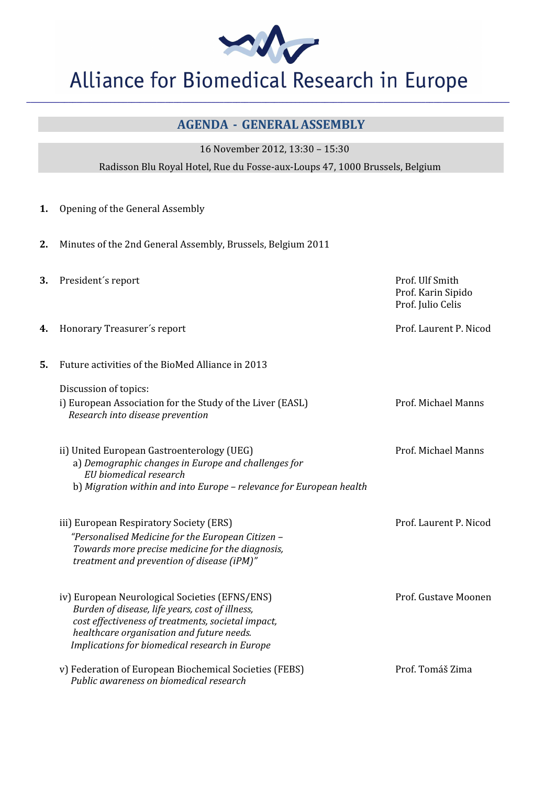W

## Alliance for Biomedical Research in Europe

**\_\_\_\_\_\_\_\_\_\_\_\_\_\_\_\_\_\_\_\_\_\_\_\_\_\_\_\_\_\_\_\_\_\_\_\_\_\_\_\_\_\_\_\_\_\_\_\_\_\_\_\_\_\_\_\_\_\_\_\_\_\_\_\_\_\_\_\_\_\_\_\_\_\_\_\_\_\_\_\_\_\_\_\_\_\_\_\_\_\_\_\_\_\_\_\_\_\_\_\_\_\_\_\_\_\_\_\_\_\_\_\_\_\_\_** 

## AGENDA - GENERAL ASSEMBLY

16 November 2012, 13:30 – 15:30

Radisson Blu Royal Hotel, Rue du Fosse-aux-Loups 47, 1000 Brussels, Belgium

- 1. Opening of the General Assembly
- 2. Minutes of the 2nd General Assembly, Brussels, Belgium 2011
- 3. President's report Prof. Ulf Smith Prof. Karin Sipido Prof. Julio Celis 4. Honorary Treasurer's report **Access 2008** Prof. Laurent P. Nicod 5. Future activities of the BioMed Alliance in 2013 Discussion of topics: i) European Association for the Study of the Liver (EASL) Prof. Michael Manns Research into disease prevention ii) United European Gastroenterology (UEG) entitled the controller prof. Michael Manns a) Demographic changes in Europe and challenges for EU biomedical research b) Migration within and into Europe – relevance for European health iii) European Respiratory Society (ERS) New York 1988 Services Prof. Laurent P. Nicod "Personalised Medicine for the European Citizen – Towards more precise medicine for the diagnosis, treatment and prevention of disease (iPM)" iv) European Neurological Societies (EFNS/ENS) entitled the state of the Prof. Gustave Moonen Burden of disease, life years, cost of illness, cost effectiveness of treatments, societal impact, healthcare organisation and future needs. Implications for biomedical research in Europe v) Federation of European Biochemical Societies (FEBS) Prof. Tomáš Zima Public awareness on biomedical research